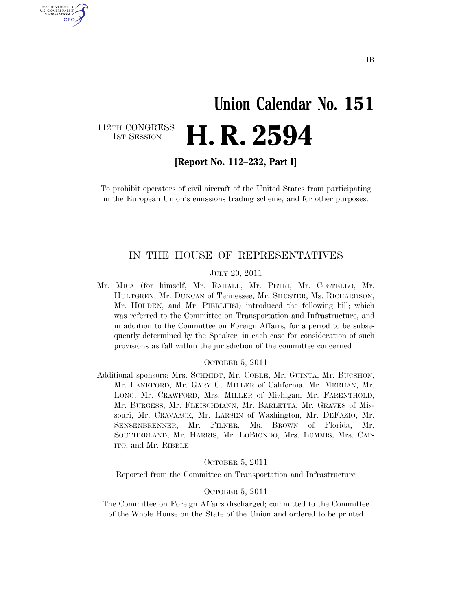# **Union Calendar No. 151**  H. R. 2594

112TH CONGRESS<br>1st Session

U.S. GOVERNMENT GPO

**[Report No. 112–232, Part I]** 

To prohibit operators of civil aircraft of the United States from participating in the European Union's emissions trading scheme, and for other purposes.

### IN THE HOUSE OF REPRESENTATIVES

### JULY 20, 2011

Mr. MICA (for himself, Mr. RAHALL, Mr. PETRI, Mr. COSTELLO, Mr. HULTGREN, Mr. DUNCAN of Tennessee, Mr. SHUSTER, Ms. RICHARDSON, Mr. HOLDEN, and Mr. PIERLUISI) introduced the following bill; which was referred to the Committee on Transportation and Infrastructure, and in addition to the Committee on Foreign Affairs, for a period to be subsequently determined by the Speaker, in each case for consideration of such provisions as fall within the jurisdiction of the committee concerned

#### OCTOBER 5, 2011

Additional sponsors: Mrs. SCHMIDT, Mr. COBLE, Mr. GUINTA, Mr. BUCSHON, Mr. LANKFORD, Mr. GARY G. MILLER of California, Mr. MEEHAN, Mr. LONG, Mr. CRAWFORD, Mrs. MILLER of Michigan, Mr. FARENTHOLD, Mr. BURGESS, Mr. FLEISCHMANN, Mr. BARLETTA, Mr. GRAVES of Missouri, Mr. CRAVAACK, Mr. LARSEN of Washington, Mr. DEFAZIO, Mr. SENSENBRENNER, Mr. FILNER, Ms. BROWN of Florida, Mr. SOUTHERLAND, Mr. HARRIS, Mr. LOBIONDO, Mrs. LUMMIS, Mrs. CAP-ITO, and Mr. RIBBLE

### OCTOBER 5, 2011

Reported from the Committee on Transportation and Infrastructure

### OCTOBER 5, 2011

The Committee on Foreign Affairs discharged; committed to the Committee of the Whole House on the State of the Union and ordered to be printed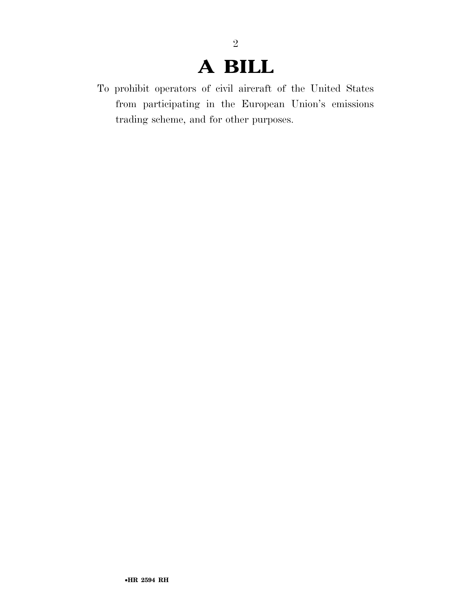# **A BILL**

2

To prohibit operators of civil aircraft of the United States from participating in the European Union's emissions trading scheme, and for other purposes.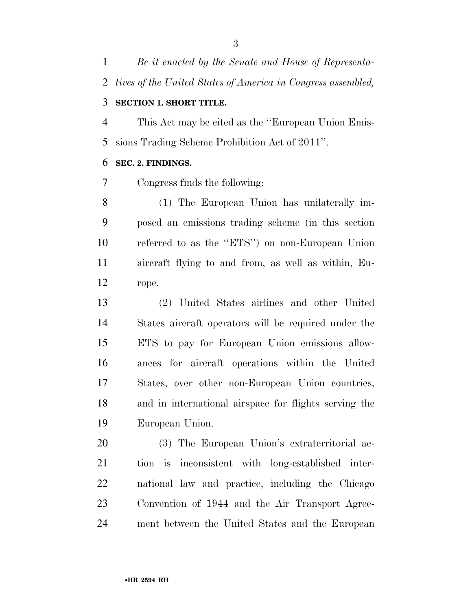*Be it enacted by the Senate and House of Representa-tives of the United States of America in Congress assembled,* 

# **SECTION 1. SHORT TITLE.**

 This Act may be cited as the ''European Union Emis-sions Trading Scheme Prohibition Act of 2011''.

### **SEC. 2. FINDINGS.**

Congress finds the following:

 (1) The European Union has unilaterally im- posed an emissions trading scheme (in this section referred to as the ''ETS'') on non-European Union aircraft flying to and from, as well as within, Eu-rope.

 (2) United States airlines and other United States aircraft operators will be required under the ETS to pay for European Union emissions allow- ances for aircraft operations within the United States, over other non-European Union countries, and in international airspace for flights serving the European Union.

 (3) The European Union's extraterritorial ac- tion is inconsistent with long-established inter- national law and practice, including the Chicago Convention of 1944 and the Air Transport Agree-ment between the United States and the European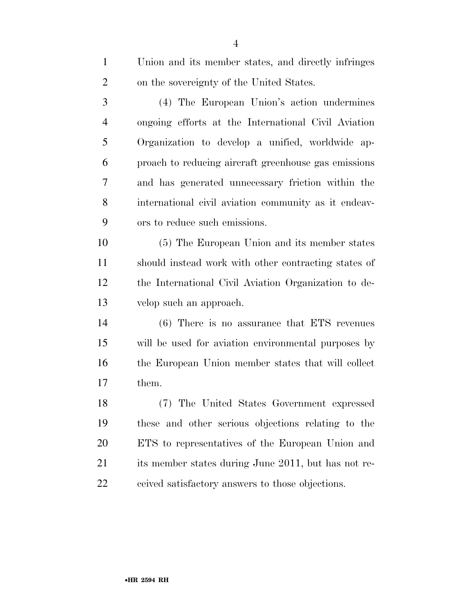| $\mathbf{1}$   | Union and its member states, and directly infringes  |
|----------------|------------------------------------------------------|
| $\overline{2}$ | on the sovereignty of the United States.             |
| 3              | (4) The European Union's action undermines           |
| $\overline{4}$ | ongoing efforts at the International Civil Aviation  |
| 5              | Organization to develop a unified, worldwide ap-     |
| 6              | proach to reducing aircraft greenhouse gas emissions |
| 7              | and has generated unnecessary friction within the    |
| 8              | international civil aviation community as it endeav- |
| 9              | ors to reduce such emissions.                        |
| 10             | (5) The European Union and its member states         |
| 11             | should instead work with other contracting states of |
| 12             | the International Civil Aviation Organization to de- |
| 13             | velop such an approach.                              |
| 14             | $(6)$ There is no assurance that ETS revenues        |
| 15             | will be used for aviation environmental purposes by  |
| 16             | the European Union member states that will collect   |
| 17             | them.                                                |
| 18             | (7) The United States Government expressed           |
| 19             | these and other serious objections relating to the   |
| 20             | ETS to representatives of the European Union and     |
| 21             | its member states during June 2011, but has not re-  |
| 22             | ceived satisfactory answers to those objections.     |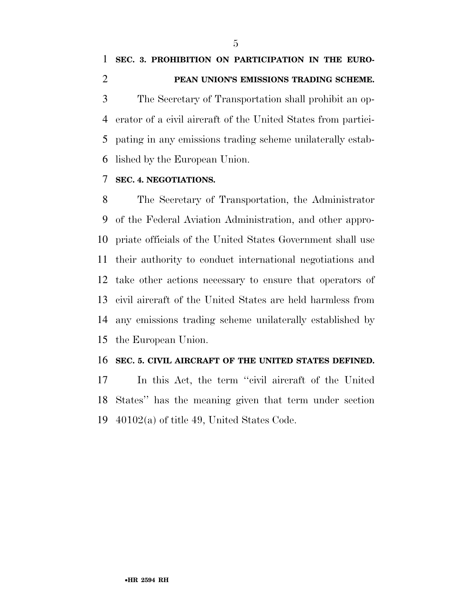The Secretary of Transportation shall prohibit an op- erator of a civil aircraft of the United States from partici- pating in any emissions trading scheme unilaterally estab-lished by the European Union.

## **SEC. 4. NEGOTIATIONS.**

 The Secretary of Transportation, the Administrator of the Federal Aviation Administration, and other appro- priate officials of the United States Government shall use their authority to conduct international negotiations and take other actions necessary to ensure that operators of civil aircraft of the United States are held harmless from any emissions trading scheme unilaterally established by the European Union.

## **SEC. 5. CIVIL AIRCRAFT OF THE UNITED STATES DEFINED.**

 In this Act, the term ''civil aircraft of the United States'' has the meaning given that term under section 40102(a) of title 49, United States Code.